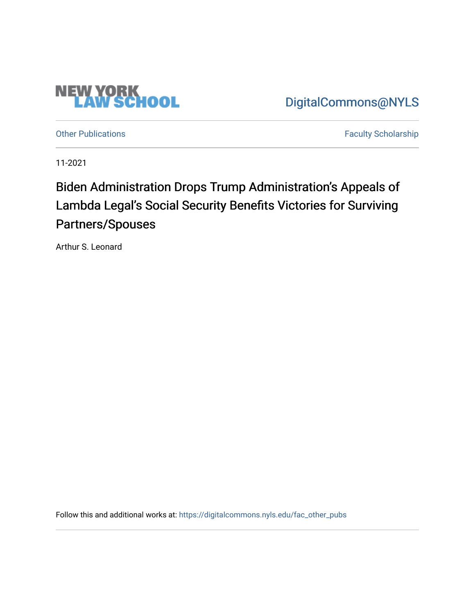

[Other Publications](https://digitalcommons.nyls.edu/fac_other_pubs) **Faculty Scholarship Faculty Scholarship** 

**NEW YORK<br>LAW SCHOOL** 

11-2021

# Biden Administration Drops Trump Administration's Appeals of Lambda Legal's Social Security Benefits Victories for Surviving Partners/Spouses

Arthur S. Leonard

Follow this and additional works at: [https://digitalcommons.nyls.edu/fac\\_other\\_pubs](https://digitalcommons.nyls.edu/fac_other_pubs?utm_source=digitalcommons.nyls.edu%2Ffac_other_pubs%2F772&utm_medium=PDF&utm_campaign=PDFCoverPages)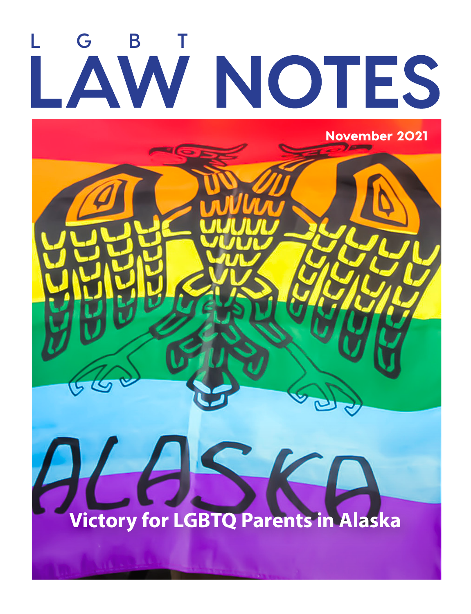# LAW NOTES

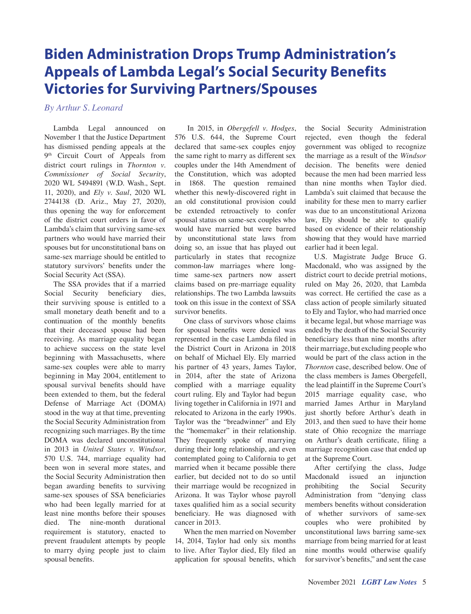## **Biden Administration Drops Trump Administration's Appeals of Lambda Legal's Social Security Benefits Victories for Surviving Partners/Spouses**

*By Arthur S. Leonard*

Lambda Legal announced on November 1 that the Justice Department has dismissed pending appeals at the 9<sup>th</sup> Circuit Court of Appeals from district court rulings in *Thornton v. Commissioner of Social Security*, 2020 WL 5494891 (W.D. Wash., Sept. 11, 2020), and *Ely v. Saul*, 2020 WL 2744138 (D. Ariz., May 27, 2020), thus opening the way for enforcement of the district court orders in favor of Lambda's claim that surviving same-sex partners who would have married their spouses but for unconstitutional bans on same-sex marriage should be entitled to statutory survivors' benefits under the Social Security Act (SSA).

The SSA provides that if a married Social Security beneficiary dies, their surviving spouse is entitled to a small monetary death benefit and to a continuation of the monthly benefits that their deceased spouse had been receiving. As marriage equality began to achieve success on the state level beginning with Massachusetts, where same-sex couples were able to marry beginning in May 2004, entitlement to spousal survival benefits should have been extended to them, but the federal Defense of Marriage Act (DOMA) stood in the way at that time, preventing the Social Security Administration from recognizing such marriages. By the time DOMA was declared unconstitutional in 2013 in *United States v. Windsor*, 570 U.S. 744, marriage equality had been won in several more states, and the Social Security Administration then began awarding benefits to surviving same-sex spouses of SSA beneficiaries who had been legally married for at least nine months before their spouses died. The nine-month durational requirement is statutory, enacted to prevent fraudulent attempts by people to marry dying people just to claim spousal benefits.

 In 2015, in *Obergefell v. Hodges*, 576 U.S. 644, the Supreme Court declared that same-sex couples enjoy the same right to marry as different sex couples under the 14th Amendment of the Constitution, which was adopted in 1868. The question remained whether this newly-discovered right in an old constitutional provision could be extended retroactively to confer spousal status on same-sex couples who would have married but were barred by unconstitutional state laws from doing so, an issue that has played out particularly in states that recognize common-law marriages where longtime same-sex partners now assert claims based on pre-marriage equality relationships. The two Lambda lawsuits took on this issue in the context of SSA survivor benefits.

One class of survivors whose claims for spousal benefits were denied was represented in the case Lambda filed in the District Court in Arizona in 2018 on behalf of Michael Ely. Ely married his partner of 43 years, James Taylor, in 2014, after the state of Arizona complied with a marriage equality court ruling. Ely and Taylor had begun living together in California in 1971 and relocated to Arizona in the early 1990s. Taylor was the "breadwinner" and Ely the "homemaker" in their relationship. They frequently spoke of marrying during their long relationship, and even contemplated going to California to get married when it became possible there earlier, but decided not to do so until their marriage would be recognized in Arizona. It was Taylor whose payroll taxes qualified him as a social security beneficiary. He was diagnosed with cancer in 2013.

When the men married on November 14, 2014, Taylor had only six months to live. After Taylor died, Ely filed an application for spousal benefits, which

the Social Security Administration rejected, even though the federal government was obliged to recognize the marriage as a result of the *Windsor* decision. The benefits were denied because the men had been married less than nine months when Taylor died. Lambda's suit claimed that because the inability for these men to marry earlier was due to an unconstitutional Arizona law, Ely should be able to qualify based on evidence of their relationship showing that they would have married earlier had it been legal.

U.S. Magistrate Judge Bruce G. Macdonald, who was assigned by the district court to decide pretrial motions, ruled on May 26, 2020, that Lambda was correct. He certified the case as a class action of people similarly situated to Ely and Taylor, who had married once it became legal, but whose marriage was ended by the death of the Social Security beneficiary less than nine months after their marriage, but excluding people who would be part of the class action in the *Thornton* case, described below. One of the class members is James Obergefell, the lead plaintiff in the Supreme Court's 2015 marriage equality case, who married James Arthur in Maryland just shortly before Arthur's death in 2013, and then sued to have their home state of Ohio recognize the marriage on Arthur's death certificate, filing a marriage recognition case that ended up at the Supreme Court.

After certifying the class, Judge Macdonald issued an injunction prohibiting the Social Security Administration from "denying class members benefits without consideration of whether survivors of same-sex couples who were prohibited by unconstitutional laws barring same-sex marriage from being married for at least nine months would otherwise qualify for survivor's benefits," and sent the case